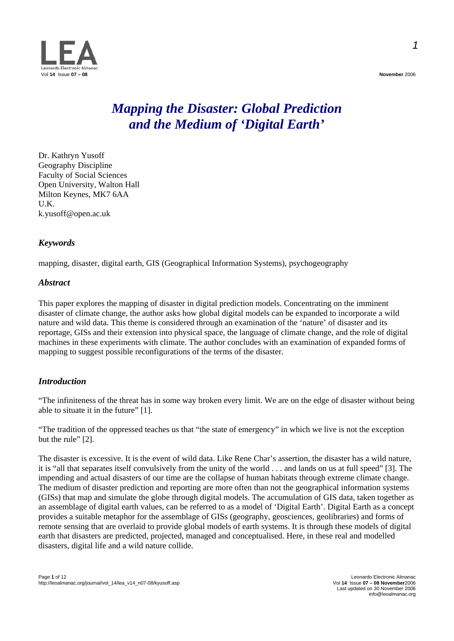

# *Mapping the Disaster: Global Prediction and the Medium of 'Digital Earth'*

Dr. Kathryn Yusoff Geography Discipline Faculty of Social Sciences Open University, Walton Hall Milton Keynes, MK7 6AA U.K. [k.yusoff@open.ac.uk](mailto:k.yusoff@open.ac.uk)

# *Keywords*

mapping, disaster, digital earth, GIS (Geographical Information Systems), psychogeography

#### *Abstract*

This paper explores the mapping of disaster in digital prediction models. Concentrating on the imminent disaster of climate change, the author asks how global digital models can be expanded to incorporate a wild nature and wild data. This theme is considered through an examination of the 'nature' of disaster and its reportage, GISs and their extension into physical space, the language of climate change, and the role of digital machines in these experiments with climate. The author concludes with an examination of expanded forms of mapping to suggest possible reconfigurations of the terms of the disaster.

# *Introduction*

"The infiniteness of the threat has in some way broken every limit. We are on the edge of disaster without being able to situate it in the future" [1].

"The tradition of the oppressed teaches us that "the state of emergency" in which we live is not the exception but the rule" [2].

The disaster is excessive. It is the event of wild data. Like Rene Char's assertion, the disaster has a wild nature, it is "all that separates itself convulsively from the unity of the world . . . and lands on us at full speed" [3]. The impending and actual disasters of our time are the collapse of human habitats through extreme climate change. The medium of disaster prediction and reporting are more often than not the geographical information systems (GISs) that map and simulate the globe through digital models. The accumulation of GIS data, taken together as an assemblage of digital earth values, can be referred to as a model of 'Digital Earth'. Digital Earth as a concept provides a suitable metaphor for the assemblage of GISs (geography, geosciences, geolibraries) and forms of remote sensing that are overlaid to provide global models of earth systems. It is through these models of digital earth that disasters are predicted, projected, managed and conceptualised. Here, in these real and modelled disasters, digital life and a wild nature collide.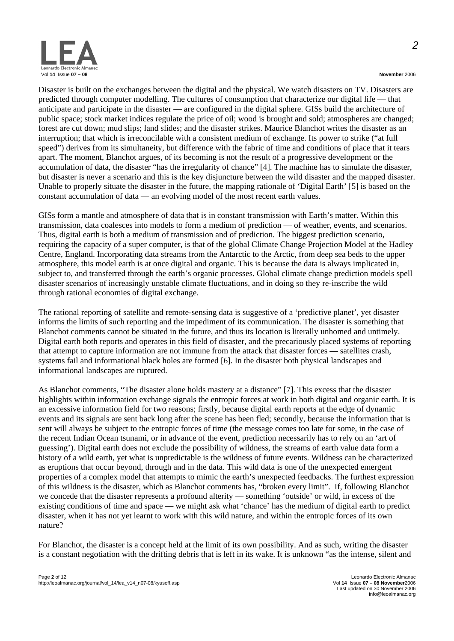

Disaster is built on the exchanges between the digital and the physical. We watch disasters on TV. Disasters are predicted through computer modelling. The cultures of consumption that characterize our digital life — that anticipate and participate in the disaster — are configured in the digital sphere. GISs build the architecture of public space; stock market indices regulate the price of oil; wood is brought and sold; atmospheres are changed; forest are cut down; mud slips; land slides; and the disaster strikes. Maurice Blanchot writes the disaster as an interruption; that which is irreconcilable with a consistent medium of exchange. Its power to strike ("at full speed") derives from its simultaneity, but difference with the fabric of time and conditions of place that it tears apart. The moment, Blanchot argues, of its becoming is not the result of a progressive development or the accumulation of data, the disaster "has the irregularity of chance" [4]. The machine has to simulate the disaster, but disaster is never a scenario and this is the key disjuncture between the wild disaster and the mapped disaster. Unable to properly situate the disaster in the future, the mapping rationale of 'Digital Earth' [5] is based on the constant accumulation of data — an evolving model of the most recent earth values.

GISs form a mantle and atmosphere of data that is in constant transmission with Earth's matter. Within this transmission, data coalesces into models to form a medium of prediction — of weather, events, and scenarios. Thus, digital earth is both a medium of transmission and of prediction. The biggest prediction scenario, requiring the capacity of a super computer, is that of the global Climate Change Projection Model at the Hadley Centre, England. Incorporating data streams from the Antarctic to the Arctic, from deep sea beds to the upper atmosphere, this model earth is at once digital and organic. This is because the data is always implicated in, subject to, and transferred through the earth's organic processes. Global climate change prediction models spell disaster scenarios of increasingly unstable climate fluctuations, and in doing so they re-inscribe the wild through rational economies of digital exchange.

The rational reporting of satellite and remote-sensing data is suggestive of a 'predictive planet', yet disaster informs the limits of such reporting and the impediment of its communication. The disaster is something that Blanchot comments cannot be situated in the future, and thus its location is literally unhomed and untimely. Digital earth both reports and operates in this field of disaster, and the precariously placed systems of reporting that attempt to capture information are not immune from the attack that disaster forces — satellites crash, systems fail and informational black holes are formed [6]. In the disaster both physical landscapes and informational landscapes are ruptured.

As Blanchot comments, "The disaster alone holds mastery at a distance" [7]. This excess that the disaster highlights within information exchange signals the entropic forces at work in both digital and organic earth. It is an excessive information field for two reasons; firstly, because digital earth reports at the edge of dynamic events and its signals are sent back long after the scene has been fled; secondly, because the information that is sent will always be subject to the entropic forces of time (the message comes too late for some, in the case of the recent Indian Ocean tsunami, or in advance of the event, prediction necessarily has to rely on an 'art of guessing'). Digital earth does not exclude the possibility of wildness, the streams of earth value data form a history of a wild earth, yet what is unpredictable is the wildness of future events. Wildness can be characterized as eruptions that occur beyond, through and in the data. This wild data is one of the unexpected emergent properties of a complex model that attempts to mimic the earth's unexpected feedbacks. The furthest expression of this wildness is the disaster, which as Blanchot comments has, "broken every limit". If, following Blanchot we concede that the disaster represents a profound alterity — something 'outside' or wild, in excess of the existing conditions of time and space — we might ask what 'chance' has the medium of digital earth to predict disaster, when it has not yet learnt to work with this wild nature, and within the entropic forces of its own nature?

For Blanchot, the disaster is a concept held at the limit of its own possibility. And as such, writing the disaster is a constant negotiation with the drifting debris that is left in its wake. It is unknown "as the intense, silent and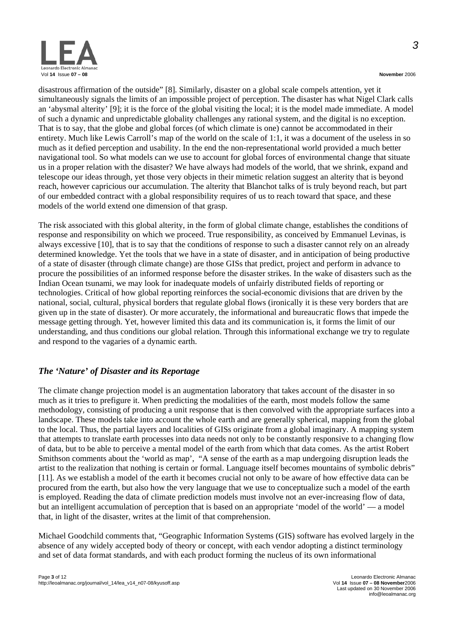

disastrous affirmation of the outside" [8]. Similarly, disaster on a global scale compels attention, yet it simultaneously signals the limits of an impossible project of perception. The disaster has what Nigel Clark calls an 'abysmal alterity' [9]; it is the force of the global visiting the local; it is the model made immediate. A model of such a dynamic and unpredictable globality challenges any rational system, and the digital is no exception. That is to say, that the globe and global forces (of which climate is one) cannot be accommodated in their entirety. Much like Lewis Carroll's map of the world on the scale of 1:1, it was a document of the useless in so much as it defied perception and usability. In the end the non-representational world provided a much better navigational tool. So what models can we use to account for global forces of environmental change that situate us in a proper relation with the disaster? We have always had models of the world, that we shrink, expand and telescope our ideas through, yet those very objects in their mimetic relation suggest an alterity that is beyond reach, however capricious our accumulation. The alterity that Blanchot talks of is truly beyond reach, but part of our embedded contract with a global responsibility requires of us to reach toward that space, and these models of the world extend one dimension of that grasp.

The risk associated with this global alterity, in the form of global climate change, establishes the conditions of response and responsibility on which we proceed. True responsibility, as conceived by Emmanuel Levinas, is always excessive [10], that is to say that the conditions of response to such a disaster cannot rely on an already determined knowledge. Yet the tools that we have in a state of disaster, and in anticipation of being productive of a state of disaster (through climate change) are those GISs that predict, project and perform in advance to procure the possibilities of an informed response before the disaster strikes. In the wake of disasters such as the Indian Ocean tsunami, we may look for inadequate models of unfairly distributed fields of reporting or technologies. Critical of how global reporting reinforces the social-economic divisions that are driven by the national, social, cultural, physical borders that regulate global flows (ironically it is these very borders that are given up in the state of disaster). Or more accurately, the informational and bureaucratic flows that impede the message getting through. Yet, however limited this data and its communication is, it forms the limit of our understanding, and thus conditions our global relation. Through this informational exchange we try to regulate and respond to the vagaries of a dynamic earth.

# *The 'Nature' of Disaster and its Reportage*

The climate change projection model is an augmentation laboratory that takes account of the disaster in so much as it tries to prefigure it. When predicting the modalities of the earth, most models follow the same methodology, consisting of producing a unit response that is then convolved with the appropriate surfaces into a landscape. These models take into account the whole earth and are generally spherical, mapping from the global to the local. Thus, the partial layers and localities of GISs originate from a global imaginary. A mapping system that attempts to translate earth processes into data needs not only to be constantly responsive to a changing flow of data, but to be able to perceive a mental model of the earth from which that data comes. As the artist Robert Smithson comments about the 'world as map', "A sense of the earth as a map undergoing disruption leads the artist to the realization that nothing is certain or formal. Language itself becomes mountains of symbolic debris" [11]. As we establish a model of the earth it becomes crucial not only to be aware of how effective data can be procured from the earth, but also how the very language that we use to conceptualize such a model of the earth is employed. Reading the data of climate prediction models must involve not an ever-increasing flow of data, but an intelligent accumulation of perception that is based on an appropriate 'model of the world' — a model that, in light of the disaster, writes at the limit of that comprehension.

Michael Goodchild comments that, "Geographic Information Systems (GIS) software has evolved largely in the absence of any widely accepted body of theory or concept, with each vendor adopting a distinct terminology and set of data format standards, and with each product forming the nucleus of its own informational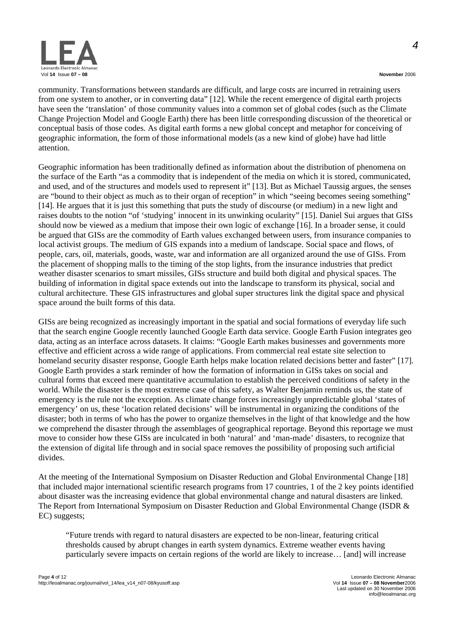

community. Transformations between standards are difficult, and large costs are incurred in retraining users from one system to another, or in converting data" [12]. While the recent emergence of digital earth projects have seen the 'translation' of those community values into a common set of global codes (such as the Climate Change Projection Model and Google Earth) there has been little corresponding discussion of the theoretical or conceptual basis of those codes. As digital earth forms a new global concept and metaphor for conceiving of geographic information, the form of those informational models (as a new kind of globe) have had little attention.

Geographic information has been traditionally defined as information about the distribution of phenomena on the surface of the Earth "as a commodity that is independent of the media on which it is stored, communicated, and used, and of the structures and models used to represent it" [13]. But as Michael Taussig argues, the senses are "bound to their object as much as to their organ of reception" in which "seeing becomes seeing something" [14]. He argues that it is just this something that puts the study of discourse (or medium) in a new light and raises doubts to the notion "of 'studying' innocent in its unwinking ocularity" [15]. Daniel Sui argues that GISs should now be viewed as a medium that impose their own logic of exchange [16]. In a broader sense, it could be argued that GISs are the commodity of Earth values exchanged between users, from insurance companies to local activist groups. The medium of GIS expands into a medium of landscape. Social space and flows, of people, cars, oil, materials, goods, waste, war and information are all organized around the use of GISs. From the placement of shopping malls to the timing of the stop lights, from the insurance industries that predict weather disaster scenarios to smart missiles, GISs structure and build both digital and physical spaces. The building of information in digital space extends out into the landscape to transform its physical, social and cultural architecture. These GIS infrastructures and global super structures link the digital space and physical space around the built forms of this data.

GISs are being recognized as increasingly important in the spatial and social formations of everyday life such that the search engine Google recently launched Google Earth data service. Google Earth Fusion integrates geo data, acting as an interface across datasets. It claims: "Google Earth makes businesses and governments more effective and efficient across a wide range of applications. From commercial real estate site selection to homeland security disaster response, Google Earth helps make location related decisions better and faster" [17]. Google Earth provides a stark reminder of how the formation of information in GISs takes on social and cultural forms that exceed mere quantitative accumulation to establish the perceived conditions of safety in the world. While the disaster is the most extreme case of this safety, as Walter Benjamin reminds us, the state of emergency is the rule not the exception. As climate change forces increasingly unpredictable global 'states of emergency' on us, these 'location related decisions' will be instrumental in organizing the conditions of the disaster; both in terms of who has the power to organize themselves in the light of that knowledge and the how we comprehend the disaster through the assemblages of geographical reportage. Beyond this reportage we must move to consider how these GISs are inculcated in both 'natural' and 'man-made' disasters, to recognize that the extension of digital life through and in social space removes the possibility of proposing such artificial divides.

At the meeting of the International Symposium on Disaster Reduction and Global Environmental Change [18] that included major international scientific research programs from 17 countries, 1 of the 2 key points identified about disaster was the increasing evidence that global environmental change and natural disasters are linked. The Report from International Symposium on Disaster Reduction and Global Environmental Change (ISDR & EC) suggests;

"Future trends with regard to natural disasters are expected to be non-linear, featuring critical thresholds caused by abrupt changes in earth system dynamics. Extreme weather events having particularly severe impacts on certain regions of the world are likely to increase… [and] will increase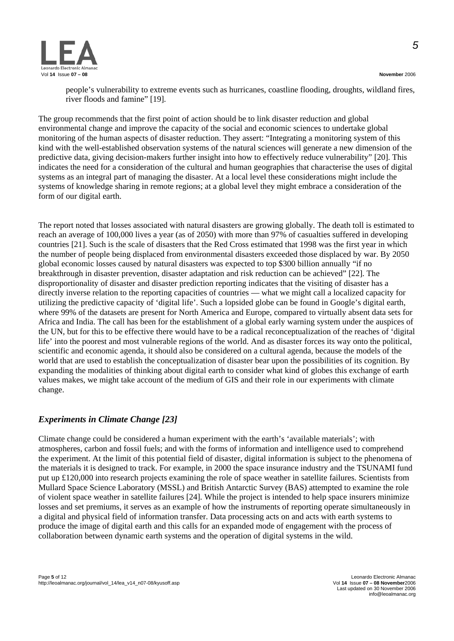*5*



people's vulnerability to extreme events such as hurricanes, coastline flooding, droughts, wildland fires, river floods and famine" [19].

The group recommends that the first point of action should be to link disaster reduction and global environmental change and improve the capacity of the social and economic sciences to undertake global monitoring of the human aspects of disaster reduction. They assert: "Integrating a monitoring system of this kind with the well-established observation systems of the natural sciences will generate a new dimension of the predictive data, giving decision-makers further insight into how to effectively reduce vulnerability" [20]. This indicates the need for a consideration of the cultural and human geographies that characterise the uses of digital systems as an integral part of managing the disaster. At a local level these considerations might include the systems of knowledge sharing in remote regions; at a global level they might embrace a consideration of the form of our digital earth.

The report noted that losses associated with natural disasters are growing globally. The death toll is estimated to reach an average of 100,000 lives a year (as of 2050) with more than 97% of casualties suffered in developing countries [21]. Such is the scale of disasters that the Red Cross estimated that 1998 was the first year in which the number of people being displaced from environmental disasters exceeded those displaced by war. By 2050 global economic losses caused by natural disasters was expected to top \$300 billion annually "if no breakthrough in disaster prevention, disaster adaptation and risk reduction can be achieved" [22]. The disproportionality of disaster and disaster prediction reporting indicates that the visiting of disaster has a directly inverse relation to the reporting capacities of countries — what we might call a localized capacity for utilizing the predictive capacity of 'digital life'. Such a lopsided globe can be found in Google's digital earth, where 99% of the datasets are present for North America and Europe, compared to virtually absent data sets for Africa and India. The call has been for the establishment of a global early warning system under the auspices of the UN, but for this to be effective there would have to be a radical reconceptualization of the reaches of 'digital life' into the poorest and most vulnerable regions of the world. And as disaster forces its way onto the political, scientific and economic agenda, it should also be considered on a cultural agenda, because the models of the world that are used to establish the conceptualization of disaster bear upon the possibilities of its cognition. By expanding the modalities of thinking about digital earth to consider what kind of globes this exchange of earth values makes, we might take account of the medium of GIS and their role in our experiments with climate change.

# *Experiments in Climate Change [23]*

Climate change could be considered a human experiment with the earth's 'available materials'; with atmospheres, carbon and fossil fuels; and with the forms of information and intelligence used to comprehend the experiment. At the limit of this potential field of disaster, digital information is subject to the phenomena of the materials it is designed to track. For example, in 2000 the space insurance industry and the TSUNAMI fund put up £120,000 into research projects examining the role of space weather in satellite failures. Scientists from Mullard Space Science Laboratory (MSSL) and British Antarctic Survey (BAS) attempted to examine the role of violent space weather in satellite failures [24]. While the project is intended to help space insurers minimize losses and set premiums, it serves as an example of how the instruments of reporting operate simultaneously in a digital and physical field of information transfer. Data processing acts on and acts with earth systems to produce the image of digital earth and this calls for an expanded mode of engagement with the process of collaboration between dynamic earth systems and the operation of digital systems in the wild.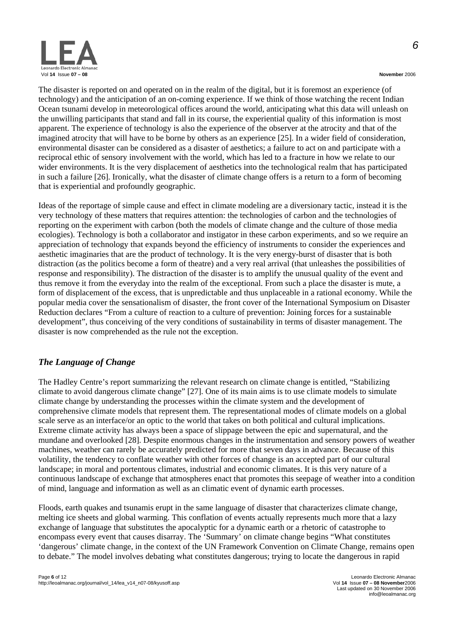

The disaster is reported on and operated on in the realm of the digital, but it is foremost an experience (of technology) and the anticipation of an on-coming experience. If we think of those watching the recent Indian Ocean tsunami develop in meteorological offices around the world, anticipating what this data will unleash on the unwilling participants that stand and fall in its course, the experiential quality of this information is most apparent. The experience of technology is also the experience of the observer at the atrocity and that of the imagined atrocity that will have to be borne by others as an experience [25]. In a wider field of consideration, environmental disaster can be considered as a disaster of aesthetics; a failure to act on and participate with a reciprocal ethic of sensory involvement with the world, which has led to a fracture in how we relate to our wider environments. It is the very displacement of aesthetics into the technological realm that has participated in such a failure [26]. Ironically, what the disaster of climate change offers is a return to a form of becoming that is experiential and profoundly geographic.

Ideas of the reportage of simple cause and effect in climate modeling are a diversionary tactic, instead it is the very technology of these matters that requires attention: the technologies of carbon and the technologies of reporting on the experiment with carbon (both the models of climate change and the culture of those media ecologies). Technology is both a collaborator and instigator in these carbon experiments, and so we require an appreciation of technology that expands beyond the efficiency of instruments to consider the experiences and aesthetic imaginaries that are the product of technology. It is the very energy-burst of disaster that is both distraction (as the politics become a form of theatre) and a very real arrival (that unleashes the possibilities of response and responsibility). The distraction of the disaster is to amplify the unusual quality of the event and thus remove it from the everyday into the realm of the exceptional. From such a place the disaster is mute, a form of displacement of the excess, that is unpredictable and thus unplaceable in a rational economy. While the popular media cover the sensationalism of disaster, the front cover of the International Symposium on Disaster Reduction declares "From a culture of reaction to a culture of prevention: Joining forces for a sustainable development", thus conceiving of the very conditions of sustainability in terms of disaster management. The disaster is now comprehended as the rule not the exception.

# *The Language of Change*

The Hadley Centre's report summarizing the relevant research on climate change is entitled, "Stabilizing climate to avoid dangerous climate change" [27]. One of its main aims is to use climate models to simulate climate change by understanding the processes within the climate system and the development of comprehensive climate models that represent them. The representational modes of climate models on a global scale serve as an interface/or an optic to the world that takes on both political and cultural implications. Extreme climate activity has always been a space of slippage between the epic and supernatural, and the mundane and overlooked [28]. Despite enormous changes in the instrumentation and sensory powers of weather machines, weather can rarely be accurately predicted for more that seven days in advance. Because of this volatility, the tendency to conflate weather with other forces of change is an accepted part of our cultural landscape; in moral and portentous climates, industrial and economic climates. It is this very nature of a continuous landscape of exchange that atmospheres enact that promotes this seepage of weather into a condition of mind, language and information as well as an climatic event of dynamic earth processes.

Floods, earth quakes and tsunamis erupt in the same language of disaster that characterizes climate change, melting ice sheets and global warming. This conflation of events actually represents much more that a lazy exchange of language that substitutes the apocalyptic for a dynamic earth or a rhetoric of catastrophe to encompass every event that causes disarray. The 'Summary' on climate change begins "What constitutes 'dangerous' climate change, in the context of the UN Framework Convention on Climate Change, remains open to debate." The model involves debating what constitutes dangerous; trying to locate the dangerous in rapid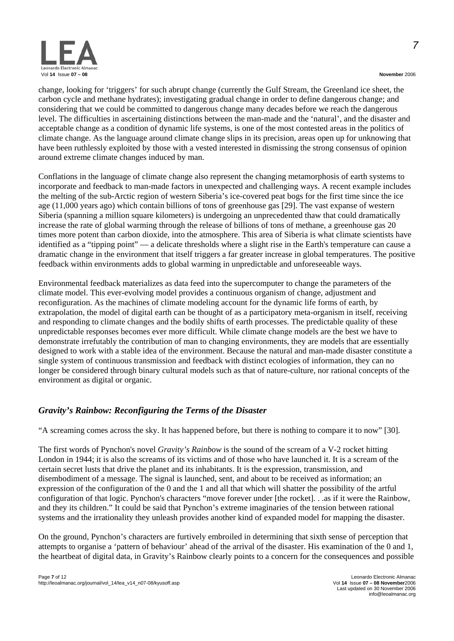

*7*

change, looking for 'triggers' for such abrupt change (currently the Gulf Stream, the Greenland ice sheet, the carbon cycle and methane hydrates); investigating gradual change in order to define dangerous change; and considering that we could be committed to dangerous change many decades before we reach the dangerous level. The difficulties in ascertaining distinctions between the man-made and the 'natural', and the disaster and acceptable change as a condition of dynamic life systems, is one of the most contested areas in the politics of climate change. As the language around climate change slips in its precision, areas open up for unknowing that have been ruthlessly exploited by those with a vested interested in dismissing the strong consensus of opinion around extreme climate changes induced by man.

Conflations in the language of climate change also represent the changing metamorphosis of earth systems to incorporate and feedback to man-made factors in unexpected and challenging ways. A recent example includes the melting of the sub-Arctic region of western Siberia's ice-covered peat bogs for the first time since the ice age (11,000 years ago) which contain billions of tons of greenhouse gas [29]. The vast expanse of western Siberia (spanning a million square kilometers) is undergoing an unprecedented thaw that could dramatically increase the rate of global warming through the release of billions of tons of methane, a greenhouse gas 20 times more potent than carbon dioxide, into the atmosphere. This area of Siberia is what climate scientists have identified as a "tipping point" — a delicate thresholds where a slight rise in the Earth's temperature can cause a dramatic change in the environment that itself triggers a far greater increase in global temperatures. The positive feedback within environments adds to global warming in unpredictable and unforeseeable ways.

Environmental feedback materializes as data feed into the supercomputer to change the parameters of the climate model. This ever-evolving model provides a continuous organism of change, adjustment and reconfiguration. As the machines of climate modeling account for the dynamic life forms of earth, by extrapolation, the model of digital earth can be thought of as a participatory meta-organism in itself, receiving and responding to climate changes and the bodily shifts of earth processes. The predictable quality of these unpredictable responses becomes ever more difficult. While climate change models are the best we have to demonstrate irrefutably the contribution of man to changing environments, they are models that are essentially designed to work with a stable idea of the environment. Because the natural and man-made disaster constitute a single system of continuous transmission and feedback with distinct ecologies of information, they can no longer be considered through binary cultural models such as that of nature-culture, nor rational concepts of the environment as digital or organic.

# *Gravity's Rainbow: Reconfiguring the Terms of the Disaster*

"A screaming comes across the sky. It has happened before, but there is nothing to compare it to now" [30].

The first words of Pynchon's novel *Gravity's Rainbow* is the sound of the scream of a V-2 rocket hitting London in 1944; it is also the screams of its victims and of those who have launched it. It is a scream of the certain secret lusts that drive the planet and its inhabitants. It is the expression, transmission, and disembodiment of a message. The signal is launched, sent, and about to be received as information; an expression of the configuration of the 0 and the 1 and all that which will shatter the possibility of the artful configuration of that logic. Pynchon's characters "move forever under [the rocket]. . .as if it were the Rainbow, and they its children." It could be said that Pynchon's extreme imaginaries of the tension between rational systems and the irrationality they unleash provides another kind of expanded model for mapping the disaster.

On the ground, Pynchon's characters are furtively embroiled in determining that sixth sense of perception that attempts to organise a 'pattern of behaviour' ahead of the arrival of the disaster. His examination of the 0 and 1, the heartbeat of digital data, in Gravity's Rainbow clearly points to a concern for the consequences and possible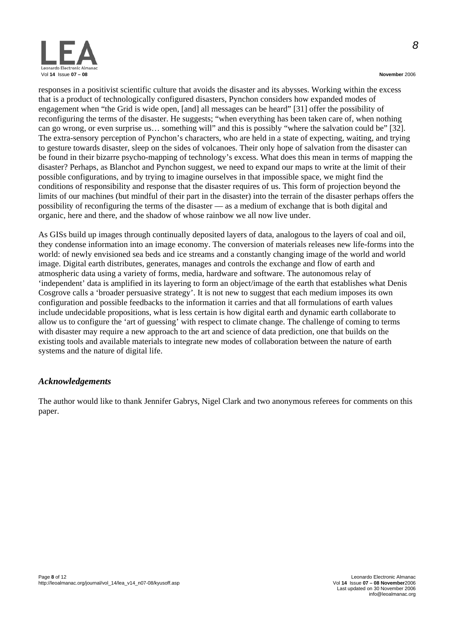

responses in a positivist scientific culture that avoids the disaster and its abysses. Working within the excess that is a product of technologically configured disasters, Pynchon considers how expanded modes of engagement when "the Grid is wide open, [and] all messages can be heard" [31] offer the possibility of reconfiguring the terms of the disaster. He suggests; "when everything has been taken care of, when nothing can go wrong, or even surprise us… something will" and this is possibly "where the salvation could be" [32]. The extra-sensory perception of Pynchon's characters, who are held in a state of expecting, waiting, and trying to gesture towards disaster, sleep on the sides of volcanoes. Their only hope of salvation from the disaster can be found in their bizarre psycho-mapping of technology's excess. What does this mean in terms of mapping the disaster? Perhaps, as Blanchot and Pynchon suggest, we need to expand our maps to write at the limit of their possible configurations, and by trying to imagine ourselves in that impossible space, we might find the conditions of responsibility and response that the disaster requires of us. This form of projection beyond the limits of our machines (but mindful of their part in the disaster) into the terrain of the disaster perhaps offers the possibility of reconfiguring the terms of the disaster — as a medium of exchange that is both digital and organic, here and there, and the shadow of whose rainbow we all now live under.

As GISs build up images through continually deposited layers of data, analogous to the layers of coal and oil, they condense information into an image economy. The conversion of materials releases new life-forms into the world: of newly envisioned sea beds and ice streams and a constantly changing image of the world and world image. Digital earth distributes, generates, manages and controls the exchange and flow of earth and atmospheric data using a variety of forms, media, hardware and software. The autonomous relay of 'independent' data is amplified in its layering to form an object/image of the earth that establishes what Denis Cosgrove calls a 'broader persuasive strategy'. It is not new to suggest that each medium imposes its own configuration and possible feedbacks to the information it carries and that all formulations of earth values include undecidable propositions, what is less certain is how digital earth and dynamic earth collaborate to allow us to configure the 'art of guessing' with respect to climate change. The challenge of coming to terms with disaster may require a new approach to the art and science of data prediction, one that builds on the existing tools and available materials to integrate new modes of collaboration between the nature of earth systems and the nature of digital life.

#### *Acknowledgements*

The author would like to thank Jennifer Gabrys, Nigel Clark and two anonymous referees for comments on this paper.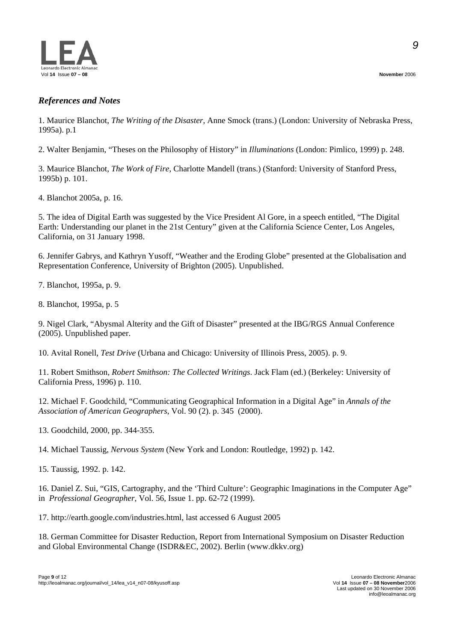

# *References and Notes*

1. Maurice Blanchot, *The Writing of the Disaster*, Anne Smock (trans.) (London: University of Nebraska Press, 1995a). p.1

2. Walter Benjamin, "Theses on the Philosophy of History" in *Illuminations* (London: Pimlico, 1999) p. 248.

3. Maurice Blanchot, *The Work of Fire*, Charlotte Mandell (trans.) (Stanford: University of Stanford Press, 1995b) p. 101.

4. Blanchot 2005a, p. 16.

5. The idea of Digital Earth was suggested by the Vice President Al Gore, in a speech entitled, "The Digital Earth: Understanding our planet in the 21st Century" given at the California Science Center, Los Angeles, California, on 31 January 1998.

6. Jennifer Gabrys, and Kathryn Yusoff, "Weather and the Eroding Globe" presented at the Globalisation and Representation Conference, University of Brighton (2005). Unpublished.

7. Blanchot, 1995a, p. 9.

8. Blanchot, 1995a, p. 5

9. Nigel Clark, "Abysmal Alterity and the Gift of Disaster" presented at the IBG/RGS Annual Conference (2005). Unpublished paper.

10. Avital Ronell, *Test Drive* (Urbana and Chicago: University of Illinois Press, 2005). p. 9.

11. Robert Smithson, *Robert Smithson: The Collected Writings*. Jack Flam (ed.) (Berkeley: University of California Press, 1996) p. 110.

12. Michael F. Goodchild, "Communicating Geographical Information in a Digital Age" in *Annals of the Association of American Geographers*, Vol. 90 (2). p. 345 (2000).

13. Goodchild, 2000, pp. 344-355.

14. Michael Taussig, *Nervous System* (New York and London: Routledge, 1992) p. 142.

15. Taussig, 1992. p. 142.

16. Daniel Z. Sui, "GIS, Cartography, and the 'Third Culture': Geographic Imaginations in the Computer Age" in *Professional Geographer*, Vol. 56, Issue 1. pp. 62-72 (1999).

17. <http://earth.google.com/industries.html>, last accessed 6 August 2005

18. German Committee for Disaster Reduction, Report from International Symposium on Disaster Reduction and Global Environmental Change (ISDR&EC, 2002). Berlin [\(www.dkkv.org](http://www.dkkv.org/))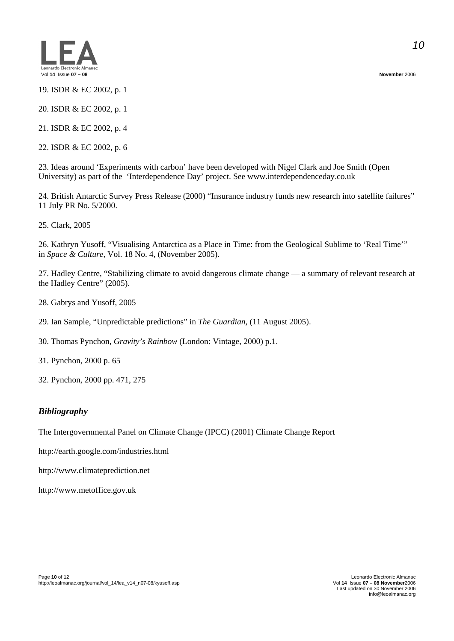

19. ISDR & EC 2002, p. 1

20. ISDR & EC 2002, p. 1

21. ISDR & EC 2002, p. 4

22. ISDR & EC 2002, p. 6

23. Ideas around 'Experiments with carbon' have been developed with Nigel Clark and Joe Smith (Open University) as part of the 'Interdependence Day' project. See [www.interdependenceday.co.uk](http://www.interdependenceday.co.uk/)

24. British Antarctic Survey Press Release (2000) "Insurance industry funds new research into satellite failures" 11 July PR No. 5/2000.

25. Clark, 2005

26. Kathryn Yusoff, "Visualising Antarctica as a Place in Time: from the Geological Sublime to 'Real Time'" in *Space & Culture*, Vol. 18 No. 4, (November 2005).

27. Hadley Centre, "Stabilizing climate to avoid dangerous climate change — a summary of relevant research at the Hadley Centre" (2005).

- 28. Gabrys and Yusoff, 2005
- 29. Ian Sample, "Unpredictable predictions" in *The Guardian*, (11 August 2005).

30. Thomas Pynchon, *Gravity's Rainbow* (London: Vintage, 2000) p.1.

31. Pynchon, 2000 p. 65

32. Pynchon, 2000 pp. 471, 275

# *Bibliography*

The Intergovernmental Panel on Climate Change (IPCC) (2001) Climate Change Report

<http://earth.google.com/industries.html>

[http://www.climateprediction.net](http://www.climateprediction.net/)

http://www.metoffice.gov.uk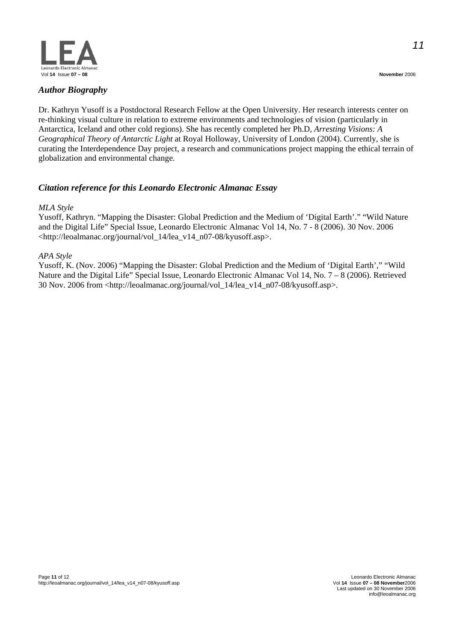

# *Author Biography*

Dr. Kathryn Yusoff is a Postdoctoral Research Fellow at the Open University. Her research interests center on re-thinking visual culture in relation to extreme environments and technologies of vision (particularly in Antarctica, Iceland and other cold regions). She has recently completed her Ph.D, *Arresting Visions: A Geographical Theory of Antarctic Light* at Royal Holloway, University of London (2004). Currently, she is curating the Interdependence Day project, a research and communications project mapping the ethical terrain of globalization and environmental change.

# *Citation reference for this Leonardo Electronic Almanac Essay*

#### *MLA Style*

Yusoff, Kathryn. "Mapping the Disaster: Global Prediction and the Medium of 'Digital Earth'." "Wild Nature and the Digital Life" Special Issue, Leonardo Electronic Almanac Vol 14, No. 7 - 8 (2006). 30 Nov. 2006 <http://leoalmanac.org/journal/vol\_14/lea\_v14\_n07-08/kyusoff.asp>.

#### *APA Style*

Yusoff, K. (Nov. 2006) "Mapping the Disaster: Global Prediction and the Medium of 'Digital Earth'," "Wild Nature and the Digital Life" Special Issue, Leonardo Electronic Almanac Vol 14, No. 7 – 8 (2006). Retrieved 30 Nov. 2006 from <http://leoalmanac.org/journal/vol\_14/lea\_v14\_n07-08/kyusoff.asp>.

*11*